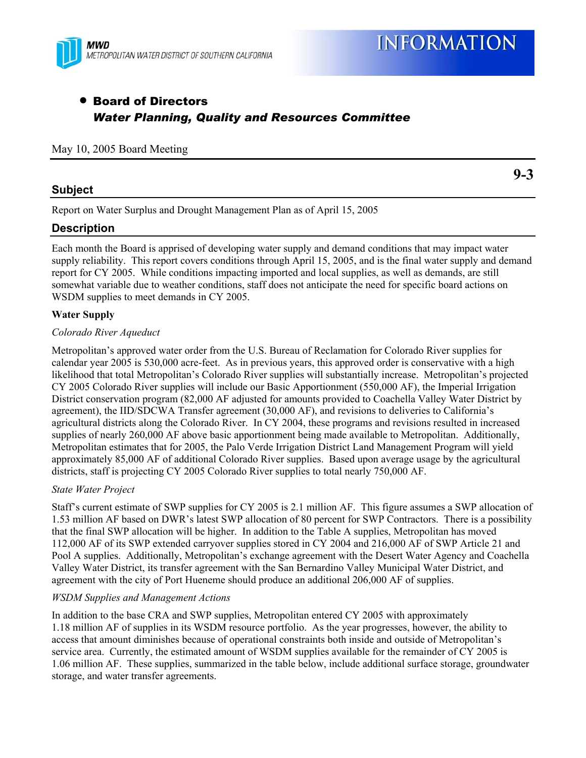

# • Board of Directors *Water Planning, Quality and Resources Committee*

### May 10, 2005 Board Meeting

## **Subject**

**9-3** 

Report on Water Surplus and Drought Management Plan as of April 15, 2005

# **Description**

Each month the Board is apprised of developing water supply and demand conditions that may impact water supply reliability. This report covers conditions through April 15, 2005, and is the final water supply and demand report for CY 2005. While conditions impacting imported and local supplies, as well as demands, are still somewhat variable due to weather conditions, staff does not anticipate the need for specific board actions on WSDM supplies to meet demands in CY 2005.

### **Water Supply**

### *Colorado River Aqueduct*

Metropolitan's approved water order from the U.S. Bureau of Reclamation for Colorado River supplies for calendar year 2005 is 530,000 acre-feet. As in previous years, this approved order is conservative with a high likelihood that total Metropolitan's Colorado River supplies will substantially increase. Metropolitan's projected CY 2005 Colorado River supplies will include our Basic Apportionment (550,000 AF), the Imperial Irrigation District conservation program (82,000 AF adjusted for amounts provided to Coachella Valley Water District by agreement), the IID/SDCWA Transfer agreement (30,000 AF), and revisions to deliveries to California's agricultural districts along the Colorado River. In CY 2004, these programs and revisions resulted in increased supplies of nearly 260,000 AF above basic apportionment being made available to Metropolitan. Additionally, Metropolitan estimates that for 2005, the Palo Verde Irrigation District Land Management Program will yield approximately 85,000 AF of additional Colorado River supplies. Based upon average usage by the agricultural districts, staff is projecting CY 2005 Colorado River supplies to total nearly 750,000 AF.

### *State Water Project*

Staff's current estimate of SWP supplies for CY 2005 is 2.1 million AF. This figure assumes a SWP allocation of 1.53 million AF based on DWR's latest SWP allocation of 80 percent for SWP Contractors. There is a possibility that the final SWP allocation will be higher. In addition to the Table A supplies, Metropolitan has moved 112,000 AF of its SWP extended carryover supplies stored in CY 2004 and 216,000 AF of SWP Article 21 and Pool A supplies. Additionally, Metropolitan's exchange agreement with the Desert Water Agency and Coachella Valley Water District, its transfer agreement with the San Bernardino Valley Municipal Water District, and agreement with the city of Port Hueneme should produce an additional 206,000 AF of supplies.

### *WSDM Supplies and Management Actions*

In addition to the base CRA and SWP supplies, Metropolitan entered CY 2005 with approximately 1.18 million AF of supplies in its WSDM resource portfolio. As the year progresses, however, the ability to access that amount diminishes because of operational constraints both inside and outside of Metropolitan's service area. Currently, the estimated amount of WSDM supplies available for the remainder of CY 2005 is 1.06 million AF. These supplies, summarized in the table below, include additional surface storage, groundwater storage, and water transfer agreements.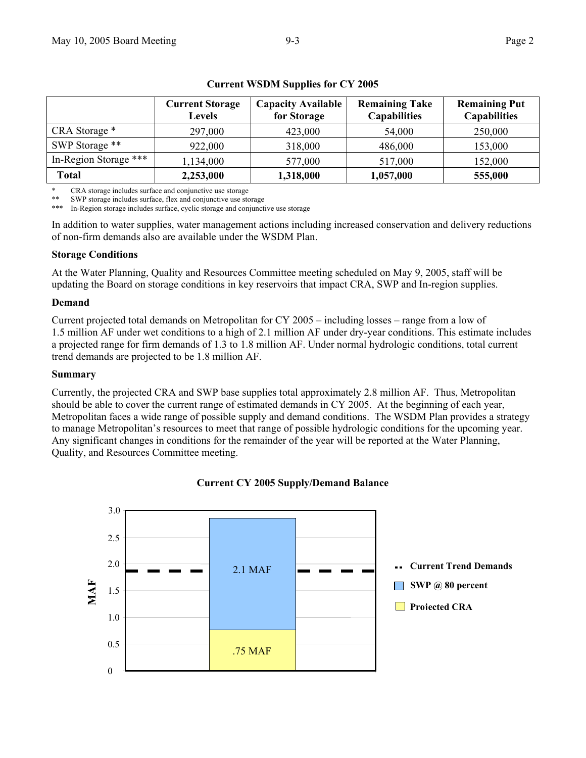|                       | <b>Current Storage</b><br>Levels | <b>Capacity Available</b><br>for Storage | <b>Remaining Take</b><br><b>Capabilities</b> | <b>Remaining Put</b><br><b>Capabilities</b> |
|-----------------------|----------------------------------|------------------------------------------|----------------------------------------------|---------------------------------------------|
| CRA Storage *         | 297,000                          | 423,000                                  | 54,000                                       | 250,000                                     |
| SWP Storage **        | 922,000                          | 318,000                                  | 486,000                                      | 153,000                                     |
| In-Region Storage *** | 1,134,000                        | 577,000                                  | 517,000                                      | 152,000                                     |
| Total                 | 2,253,000                        | 1,318,000                                | 1,057,000                                    | 555,000                                     |

### **Current WSDM Supplies for CY 2005**

\* CRA storage includes surface and conjunctive use storage<br>\*\* SWD storage includes surface flow and conjunctive use at

SWP storage includes surface, flex and conjunctive use storage

In-Region storage includes surface, cyclic storage and conjunctive use storage

In addition to water supplies, water management actions including increased conservation and delivery reductions of non-firm demands also are available under the WSDM Plan.

#### **Storage Conditions**

At the Water Planning, Quality and Resources Committee meeting scheduled on May 9, 2005, staff will be updating the Board on storage conditions in key reservoirs that impact CRA, SWP and In-region supplies.

#### **Demand**

Current projected total demands on Metropolitan for CY 2005 – including losses – range from a low of 1.5 million AF under wet conditions to a high of 2.1 million AF under dry-year conditions. This estimate includes a projected range for firm demands of 1.3 to 1.8 million AF. Under normal hydrologic conditions, total current trend demands are projected to be 1.8 million AF.

#### **Summary**

Currently, the projected CRA and SWP base supplies total approximately 2.8 million AF. Thus, Metropolitan should be able to cover the current range of estimated demands in CY 2005. At the beginning of each year, Metropolitan faces a wide range of possible supply and demand conditions. The WSDM Plan provides a strategy to manage Metropolitan's resources to meet that range of possible hydrologic conditions for the upcoming year. Any significant changes in conditions for the remainder of the year will be reported at the Water Planning, Quality, and Resources Committee meeting.



### **Current CY 2005 Supply/Demand Balance**